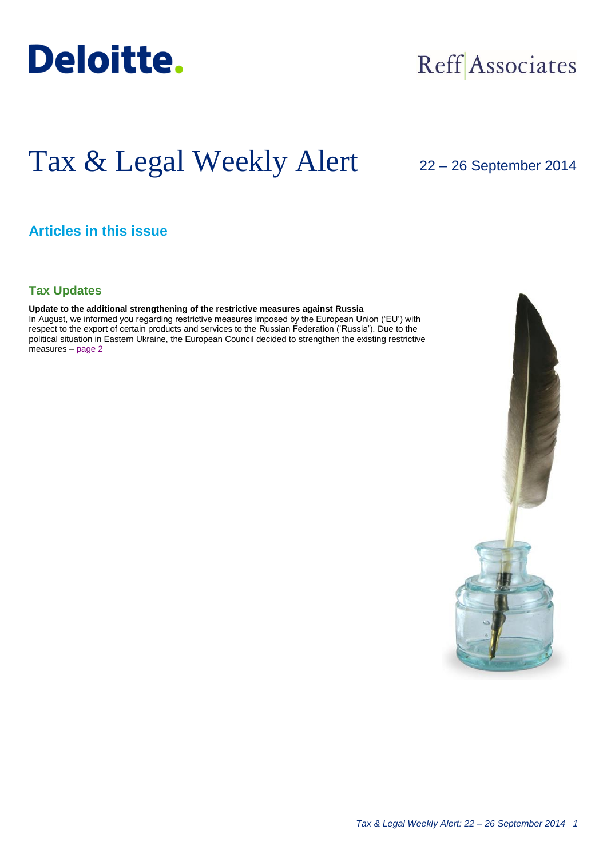

## Reff Associates

# Tax & Legal Weekly Alert

## 22 – 26 September 2014

## **Articles in this issue**

## **Tax Updates**

## **Update to the additional strengthening of the restrictive measures against Russia**

In August, we informed you regarding restrictive measures imposed by the European Union ('EU') with respect to the export of certain products and services to the Russian Federation ('Russia'). Due to the political situation in Eastern Ukraine, the European Council decided to strengthen the existing restrictive measures – [page 2](#page-1-0)

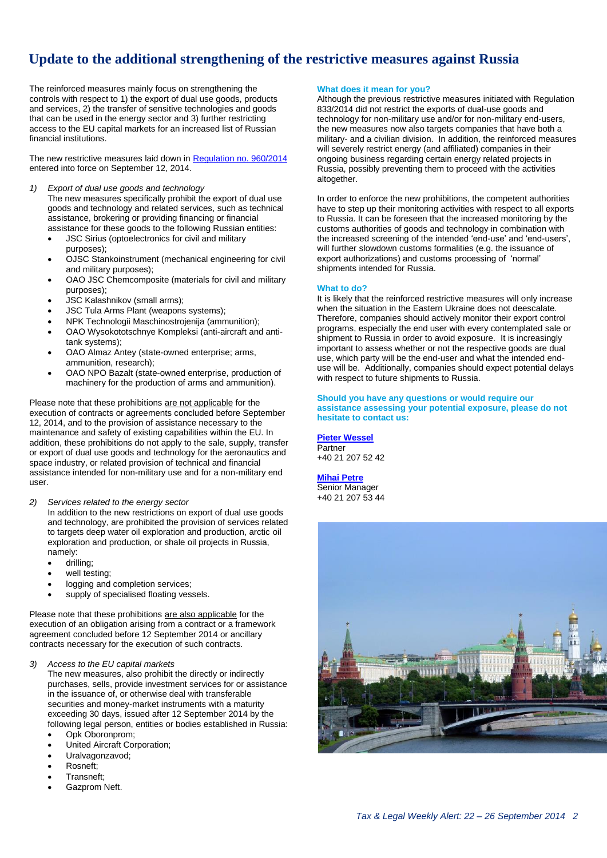## <span id="page-1-0"></span>**Update to the additional strengthening of the restrictive measures against Russia**

The reinforced measures mainly focus on strengthening the controls with respect to 1) the export of dual use goods, products and services, 2) the transfer of sensitive technologies and goods that can be used in the energy sector and 3) further restricting access to the EU capital markets for an increased list of Russian financial institutions.

The new restrictive measures laid down in [Regulation no. 960/2014](http://eur-lex.europa.eu/legal-content/EN/TXT/PDF/?uri=OJ:JOL_2014_271_R_0002&from=EN) entered into force on September 12, 2014.

*1) Export of dual use goods and technology*

The new measures specifically prohibit the export of dual use goods and technology and related services, such as technical assistance, brokering or providing financing or financial assistance for these goods to the following Russian entities:

- JSC Sirius (optoelectronics for civil and military purposes);
- OJSC Stankoinstrument (mechanical engineering for civil and military purposes);
- OAO JSC Chemcomposite (materials for civil and military purposes);
- JSC Kalashnikov (small arms);
- JSC Tula Arms Plant (weapons systems);
- NPK Technologii Maschinostrojenija (ammunition);
- OAO Wysokototschnye Kompleksi (anti-aircraft and antitank systems);
- OAO Almaz Antey (state-owned enterprise; arms, ammunition, research);
- OAO NPO Bazalt (state-owned enterprise, production of machinery for the production of arms and ammunition).

Please note that these prohibitions are not applicable for the execution of contracts or agreements concluded before September 12, 2014, and to the provision of assistance necessary to the maintenance and safety of existing capabilities within the EU. In addition, these prohibitions do not apply to the sale, supply, transfer or export of dual use goods and technology for the aeronautics and space industry, or related provision of technical and financial assistance intended for non-military use and for a non-military end user.

*2) Services related to the energy sector*

In addition to the new restrictions on export of dual use goods and technology, are prohibited the provision of services related to targets deep water oil exploration and production, arctic oil exploration and production, or shale oil projects in Russia, namely:

- drilling;
- well testing;
- logging and completion services;
- supply of specialised floating vessels.

Please note that these prohibitions are also applicable for the execution of an obligation arising from a contract or a framework agreement concluded before 12 September 2014 or ancillary contracts necessary for the execution of such contracts.

#### *3) Access to the EU capital markets*

The new measures, also prohibit the directly or indirectly purchases, sells, provide investment services for or assistance in the issuance of, or otherwise deal with transferable securities and money-market instruments with a maturity exceeding 30 days, issued after 12 September 2014 by the following legal person, entities or bodies established in Russia:

- Opk Oboronprom;
- United Aircraft Corporation;
- Uralvagonzavod;
- Rosneft;
- Transneft;
- Gazprom Neft.

### **What does it mean for you?**

Although the previous restrictive measures initiated with Regulation 833/2014 did not restrict the exports of dual-use goods and technology for non-military use and/or for non-military end-users, the new measures now also targets companies that have both a military- and a civilian division. In addition, the reinforced measures will severely restrict energy (and affiliated) companies in their ongoing business regarding certain energy related projects in Russia, possibly preventing them to proceed with the activities altogether.

In order to enforce the new prohibitions, the competent authorities have to step up their monitoring activities with respect to all exports to Russia. It can be foreseen that the increased monitoring by the customs authorities of goods and technology in combination with the increased screening of the intended 'end-use' and 'end-users', will further slowdown customs formalities (e.g. the issuance of export authorizations) and customs processing of 'normal' shipments intended for Russia.

#### **What to do?**

It is likely that the reinforced restrictive measures will only increase when the situation in the Eastern Ukraine does not deescalate. Therefore, companies should actively monitor their export control programs, especially the end user with every contemplated sale or shipment to Russia in order to avoid exposure. It is increasingly important to assess whether or not the respective goods are dual use, which party will be the end-user and what the intended enduse will be. Additionally, companies should expect potential delays with respect to future shipments to Russia.

#### **Should you have any questions or would require our assistance assessing your potential exposure, please do not hesitate to contact us:**

**[Pieter Wessel](mailto:pwessel@deloittece.com)** Partner +40 21 207 52 42

**[Mihai Petre](mailto:mipetre@deloittece.com)** Senior Manager +40 21 207 53 44